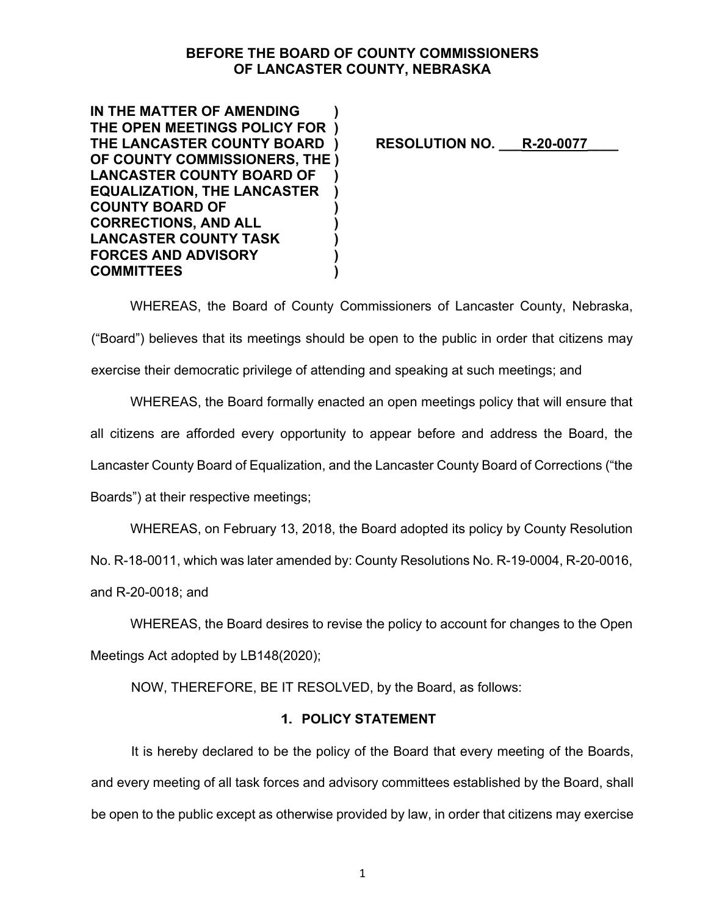# **BEFORE THE BOARD OF COUNTY COMMISSIONERS OF LANCASTER COUNTY, NEBRASKA**

**IN THE MATTER OF AMENDING ) THE OPEN MEETINGS POLICY FOR )**  THE LANCASTER COUNTY BOARD ) RESOLUTION NO. R-20-0077 **OF COUNTY COMMISSIONERS, THE ) LANCASTER COUNTY BOARD OF ) EQUALIZATION, THE LANCASTER ) COUNTY BOARD OF ) CORRECTIONS, AND ALL ) LANCASTER COUNTY TASK ) FORCES AND ADVISORY ) COMMITTEES )** 

WHEREAS, the Board of County Commissioners of Lancaster County, Nebraska, ("Board") believes that its meetings should be open to the public in order that citizens may

exercise their democratic privilege of attending and speaking at such meetings; and

WHEREAS, the Board formally enacted an open meetings policy that will ensure that all citizens are afforded every opportunity to appear before and address the Board, the Lancaster County Board of Equalization, and the Lancaster County Board of Corrections ("the Boards") at their respective meetings;

WHEREAS, on February 13, 2018, the Board adopted its policy by County Resolution

No. R-18-0011, which was later amended by: County Resolutions No. R-19-0004, R-20-0016,

and R-20-0018; and

WHEREAS, the Board desires to revise the policy to account for changes to the Open Meetings Act adopted by LB148(2020);

NOW, THEREFORE, BE IT RESOLVED, by the Board, as follows:

# **1. POLICY STATEMENT**

It is hereby declared to be the policy of the Board that every meeting of the Boards, and every meeting of all task forces and advisory committees established by the Board, shall be open to the public except as otherwise provided by law, in order that citizens may exercise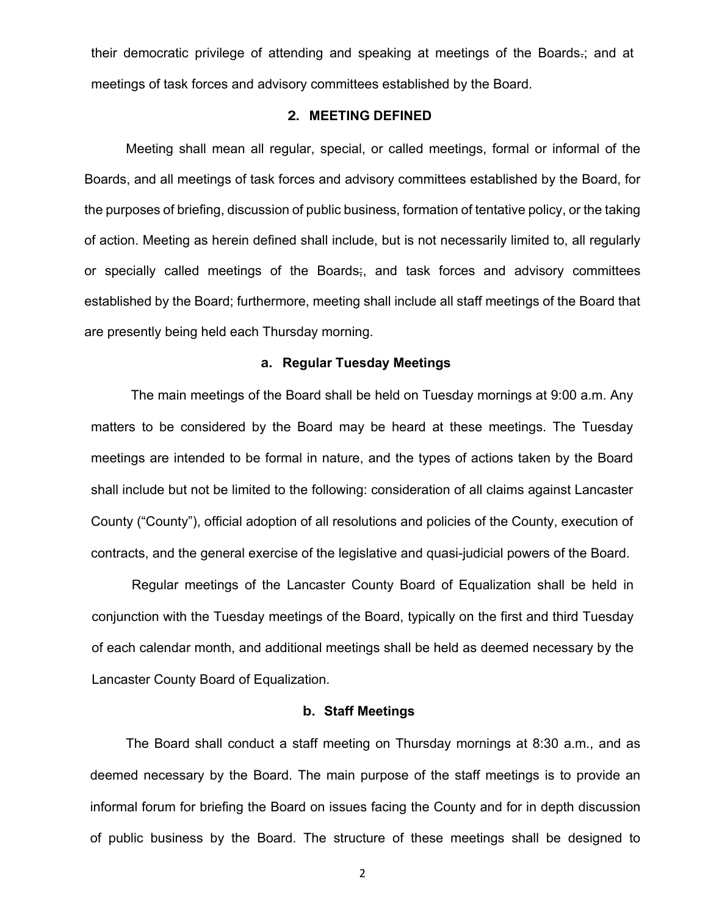their democratic privilege of attending and speaking at meetings of the Boards-; and at meetings of task forces and advisory committees established by the Board.

#### **2. MEETING DEFINED**

Meeting shall mean all regular, special, or called meetings, formal or informal of the Boards, and all meetings of task forces and advisory committees established by the Board, for the purposes of briefing, discussion of public business, formation of tentative policy, or the taking of action. Meeting as herein defined shall include, but is not necessarily limited to, all regularly or specially called meetings of the Boards;, and task forces and advisory committees established by the Board; furthermore, meeting shall include all staff meetings of the Board that are presently being held each Thursday morning.

### **a. Regular Tuesday Meetings**

The main meetings of the Board shall be held on Tuesday mornings at 9:00 a.m. Any matters to be considered by the Board may be heard at these meetings. The Tuesday meetings are intended to be formal in nature, and the types of actions taken by the Board shall include but not be limited to the following: consideration of all claims against Lancaster County ("County"), official adoption of all resolutions and policies of the County, execution of contracts, and the general exercise of the legislative and quasi-judicial powers of the Board.

Regular meetings of the Lancaster County Board of Equalization shall be held in conjunction with the Tuesday meetings of the Board, typically on the first and third Tuesday of each calendar month, and additional meetings shall be held as deemed necessary by the Lancaster County Board of Equalization.

#### **b. Staff Meetings**

The Board shall conduct a staff meeting on Thursday mornings at 8:30 a.m., and as deemed necessary by the Board. The main purpose of the staff meetings is to provide an informal forum for briefing the Board on issues facing the County and for in depth discussion of public business by the Board. The structure of these meetings shall be designed to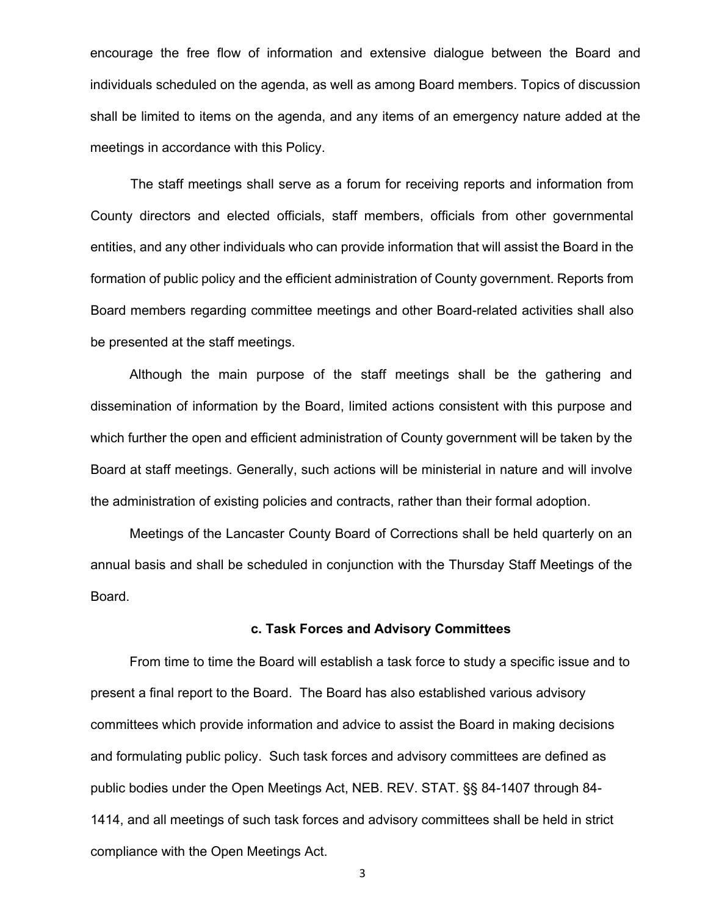encourage the free flow of information and extensive dialogue between the Board and individuals scheduled on the agenda, as well as among Board members. Topics of discussion shall be limited to items on the agenda, and any items of an emergency nature added at the meetings in accordance with this Policy.

The staff meetings shall serve as a forum for receiving reports and information from County directors and elected officials, staff members, officials from other governmental entities, and any other individuals who can provide information that will assist the Board in the formation of public policy and the efficient administration of County government. Reports from Board members regarding committee meetings and other Board-related activities shall also be presented at the staff meetings.

Although the main purpose of the staff meetings shall be the gathering and dissemination of information by the Board, limited actions consistent with this purpose and which further the open and efficient administration of County government will be taken by the Board at staff meetings. Generally, such actions will be ministerial in nature and will involve the administration of existing policies and contracts, rather than their formal adoption.

Meetings of the Lancaster County Board of Corrections shall be held quarterly on an annual basis and shall be scheduled in conjunction with the Thursday Staff Meetings of the Board.

#### **c. Task Forces and Advisory Committees**

From time to time the Board will establish a task force to study a specific issue and to present a final report to the Board. The Board has also established various advisory committees which provide information and advice to assist the Board in making decisions and formulating public policy. Such task forces and advisory committees are defined as public bodies under the Open Meetings Act, NEB. REV. STAT. §§ 84-1407 through 84- 1414, and all meetings of such task forces and advisory committees shall be held in strict compliance with the Open Meetings Act.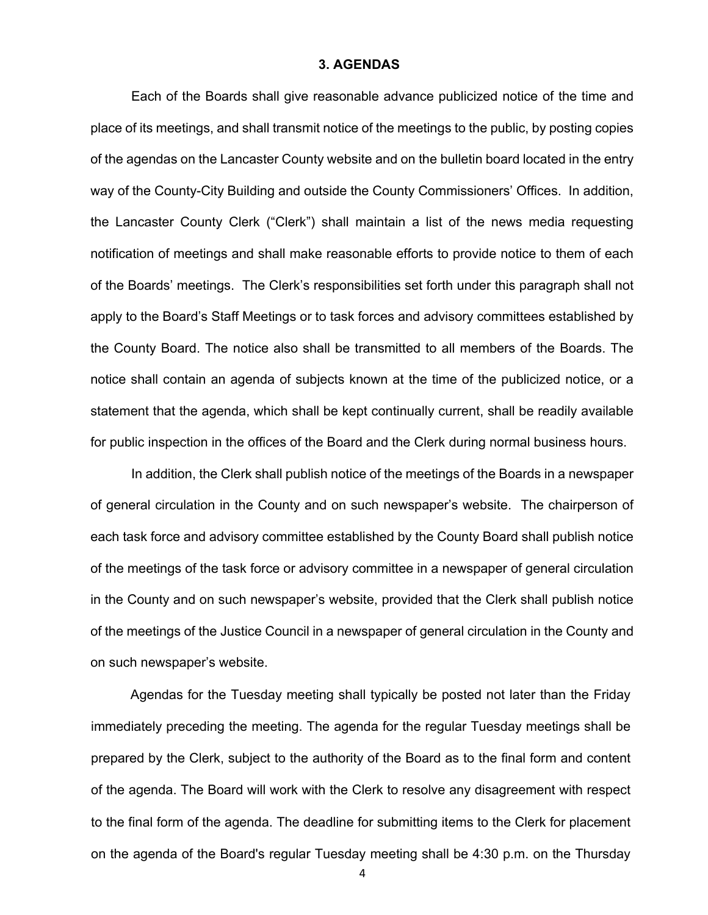#### **3. AGENDAS**

Each of the Boards shall give reasonable advance publicized notice of the time and place of its meetings, and shall transmit notice of the meetings to the public, by posting copies of the agendas on the Lancaster County website and on the bulletin board located in the entry way of the County-City Building and outside the County Commissioners' Offices. In addition, the Lancaster County Clerk ("Clerk") shall maintain a list of the news media requesting notification of meetings and shall make reasonable efforts to provide notice to them of each of the Boards' meetings. The Clerk's responsibilities set forth under this paragraph shall not apply to the Board's Staff Meetings or to task forces and advisory committees established by the County Board. The notice also shall be transmitted to all members of the Boards. The notice shall contain an agenda of subjects known at the time of the publicized notice, or a statement that the agenda, which shall be kept continually current, shall be readily available for public inspection in the offices of the Board and the Clerk during normal business hours.

In addition, the Clerk shall publish notice of the meetings of the Boards in a newspaper of general circulation in the County and on such newspaper's website. The chairperson of each task force and advisory committee established by the County Board shall publish notice of the meetings of the task force or advisory committee in a newspaper of general circulation in the County and on such newspaper's website, provided that the Clerk shall publish notice of the meetings of the Justice Council in a newspaper of general circulation in the County and on such newspaper's website.

Agendas for the Tuesday meeting shall typically be posted not later than the Friday immediately preceding the meeting. The agenda for the regular Tuesday meetings shall be prepared by the Clerk, subject to the authority of the Board as to the final form and content of the agenda. The Board will work with the Clerk to resolve any disagreement with respect to the final form of the agenda. The deadline for submitting items to the Clerk for placement on the agenda of the Board's regular Tuesday meeting shall be 4:30 p.m. on the Thursday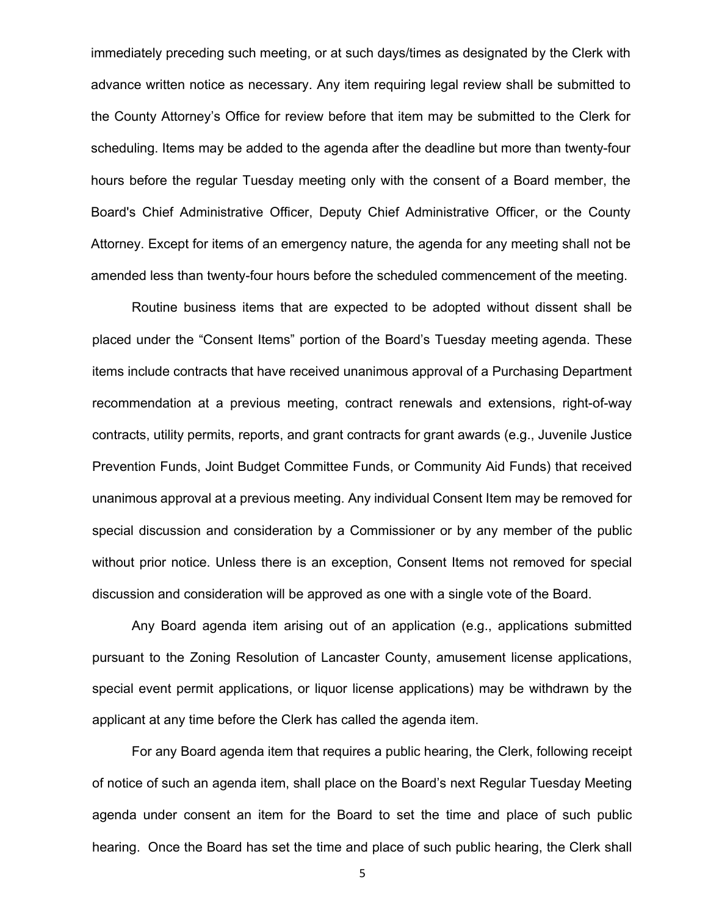immediately preceding such meeting, or at such days/times as designated by the Clerk with advance written notice as necessary. Any item requiring legal review shall be submitted to the County Attorney's Office for review before that item may be submitted to the Clerk for scheduling. Items may be added to the agenda after the deadline but more than twenty-four hours before the regular Tuesday meeting only with the consent of a Board member, the Board's Chief Administrative Officer, Deputy Chief Administrative Officer, or the County Attorney. Except for items of an emergency nature, the agenda for any meeting shall not be amended less than twenty-four hours before the scheduled commencement of the meeting.

Routine business items that are expected to be adopted without dissent shall be placed under the "Consent Items" portion of the Board's Tuesday meeting agenda. These items include contracts that have received unanimous approval of a Purchasing Department recommendation at a previous meeting, contract renewals and extensions, right-of-way contracts, utility permits, reports, and grant contracts for grant awards (e.g., Juvenile Justice Prevention Funds, Joint Budget Committee Funds, or Community Aid Funds) that received unanimous approval at a previous meeting. Any individual Consent Item may be removed for special discussion and consideration by a Commissioner or by any member of the public without prior notice. Unless there is an exception, Consent Items not removed for special discussion and consideration will be approved as one with a single vote of the Board.

Any Board agenda item arising out of an application (e.g., applications submitted pursuant to the Zoning Resolution of Lancaster County, amusement license applications, special event permit applications, or liquor license applications) may be withdrawn by the applicant at any time before the Clerk has called the agenda item.

For any Board agenda item that requires a public hearing, the Clerk, following receipt of notice of such an agenda item, shall place on the Board's next Regular Tuesday Meeting agenda under consent an item for the Board to set the time and place of such public hearing. Once the Board has set the time and place of such public hearing, the Clerk shall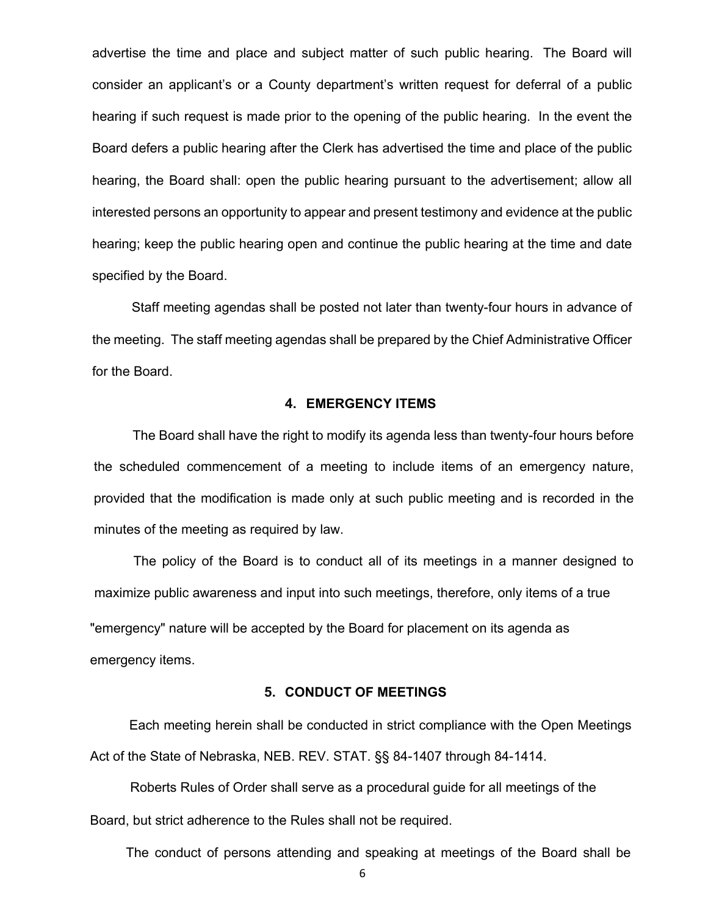advertise the time and place and subject matter of such public hearing. The Board will consider an applicant's or a County department's written request for deferral of a public hearing if such request is made prior to the opening of the public hearing. In the event the Board defers a public hearing after the Clerk has advertised the time and place of the public hearing, the Board shall: open the public hearing pursuant to the advertisement; allow all interested persons an opportunity to appear and present testimony and evidence at the public hearing; keep the public hearing open and continue the public hearing at the time and date specified by the Board.

Staff meeting agendas shall be posted not later than twenty-four hours in advance of the meeting. The staff meeting agendas shall be prepared by the Chief Administrative Officer for the Board.

# **4. EMERGENCY ITEMS**

The Board shall have the right to modify its agenda less than twenty-four hours before the scheduled commencement of a meeting to include items of an emergency nature, provided that the modification is made only at such public meeting and is recorded in the minutes of the meeting as required by law.

The policy of the Board is to conduct all of its meetings in a manner designed to maximize public awareness and input into such meetings, therefore, only items of a true "emergency" nature will be accepted by the Board for placement on its agenda as emergency items.

#### **5. CONDUCT OF MEETINGS**

Each meeting herein shall be conducted in strict compliance with the Open Meetings Act of the State of Nebraska, NEB. REV. STAT. §§ 84-1407 through 84-1414.

Roberts Rules of Order shall serve as a procedural guide for all meetings of the Board, but strict adherence to the Rules shall not be required.

The conduct of persons attending and speaking at meetings of the Board shall be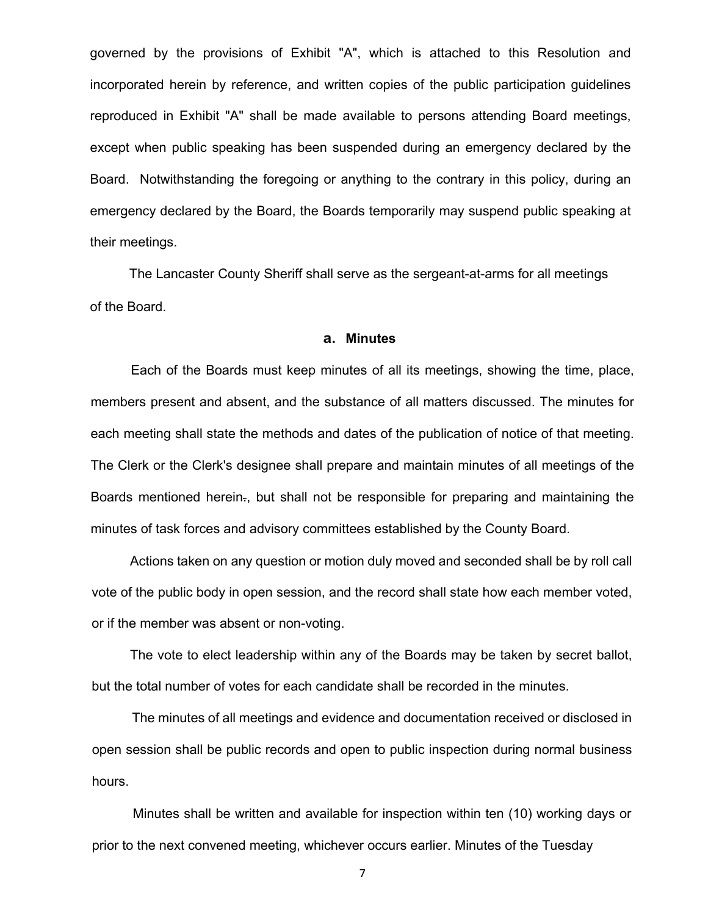governed by the provisions of Exhibit "A", which is attached to this Resolution and incorporated herein by reference, and written copies of the public participation guidelines reproduced in Exhibit "A" shall be made available to persons attending Board meetings, except when public speaking has been suspended during an emergency declared by the Board. Notwithstanding the foregoing or anything to the contrary in this policy, during an emergency declared by the Board, the Boards temporarily may suspend public speaking at their meetings.

The Lancaster County Sheriff shall serve as the sergeant-at-arms for all meetings of the Board.

# **a. Minutes**

Each of the Boards must keep minutes of all its meetings, showing the time, place, members present and absent, and the substance of all matters discussed. The minutes for each meeting shall state the methods and dates of the publication of notice of that meeting. The Clerk or the Clerk's designee shall prepare and maintain minutes of all meetings of the Boards mentioned herein., but shall not be responsible for preparing and maintaining the minutes of task forces and advisory committees established by the County Board.

Actions taken on any question or motion duly moved and seconded shall be by roll call vote of the public body in open session, and the record shall state how each member voted, or if the member was absent or non-voting.

The vote to elect leadership within any of the Boards may be taken by secret ballot, but the total number of votes for each candidate shall be recorded in the minutes.

The minutes of all meetings and evidence and documentation received or disclosed in open session shall be public records and open to public inspection during normal business hours.

Minutes shall be written and available for inspection within ten (10) working days or prior to the next convened meeting, whichever occurs earlier. Minutes of the Tuesday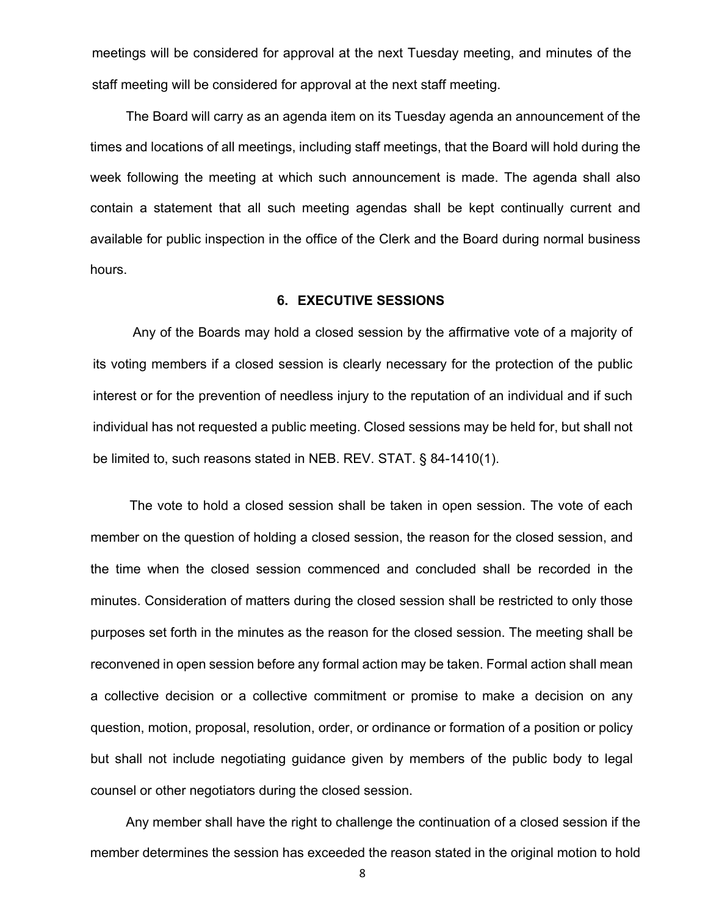meetings will be considered for approval at the next Tuesday meeting, and minutes of the staff meeting will be considered for approval at the next staff meeting.

The Board will carry as an agenda item on its Tuesday agenda an announcement of the times and locations of all meetings, including staff meetings, that the Board will hold during the week following the meeting at which such announcement is made. The agenda shall also contain a statement that all such meeting agendas shall be kept continually current and available for public inspection in the office of the Clerk and the Board during normal business hours.

# **6. EXECUTIVE SESSIONS**

Any of the Boards may hold a closed session by the affirmative vote of a majority of its voting members if a closed session is clearly necessary for the protection of the public interest or for the prevention of needless injury to the reputation of an individual and if such individual has not requested a public meeting. Closed sessions may be held for, but shall not be limited to, such reasons stated in NEB. REV. STAT. § 84-1410(1).

The vote to hold a closed session shall be taken in open session. The vote of each member on the question of holding a closed session, the reason for the closed session, and the time when the closed session commenced and concluded shall be recorded in the minutes. Consideration of matters during the closed session shall be restricted to only those purposes set forth in the minutes as the reason for the closed session. The meeting shall be reconvened in open session before any formal action may be taken. Formal action shall mean a collective decision or a collective commitment or promise to make a decision on any question, motion, proposal, resolution, order, or ordinance or formation of a position or policy but shall not include negotiating guidance given by members of the public body to legal counsel or other negotiators during the closed session.

Any member shall have the right to challenge the continuation of a closed session if the member determines the session has exceeded the reason stated in the original motion to hold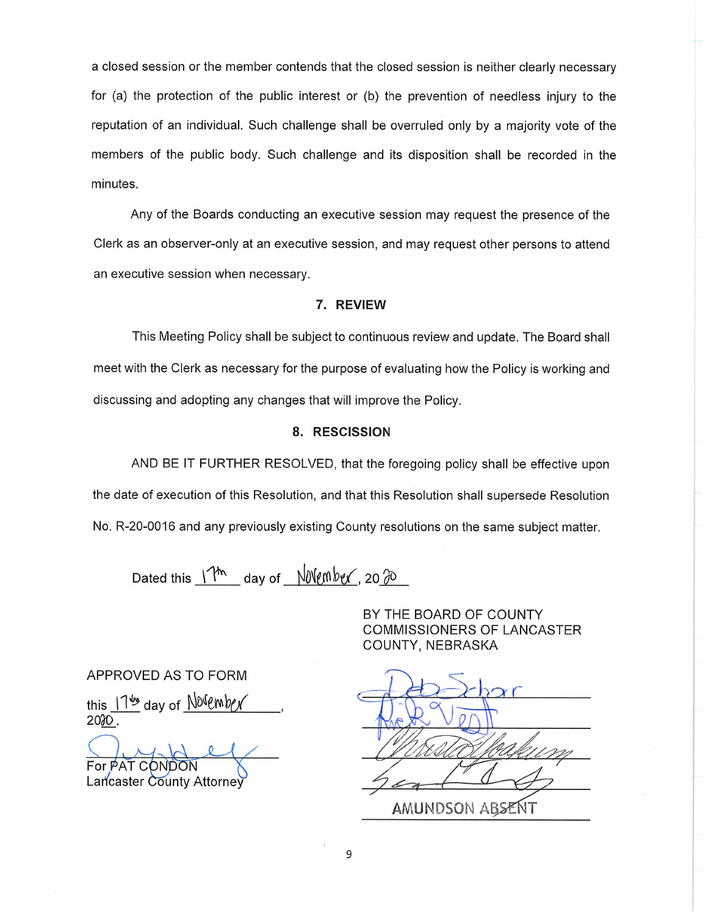a closed session or the member contends that the closed session is neither clearly necessary for (a) the protection of the public interest or (b) the prevention of needless injury to the reputation of an individual. Such challenge shall be overruled only by a majority vote of the members of the public body. Such challenge and its disposition shall be recorded in the minutes.

Any of the Boards conducting an executive session may request the presence of the Clerk as an observer-only at an executive session, and may request other persons to attend an executive session when necessary.

#### 7. REVIEW

This Meeting Policy shall be subject to continuous review and update. The Board shall meet with the Clerk as necessary for the purpose of evaluating how the Policy is working and discussing and adopting any changes that will improve the Policy.

#### 8. RESCISSION

AND BE IT FURTHER RESOLVED, that the foregoing policy shall be effective upon the date of execution of this Resolution, and that this Resolution shall supersede Resolution No. R-20-0016 and any previously existing County resolutions on the same subject matter.

Dated this  $\frac{\Upsilon_{\text{th}}}{\Upsilon}$  day of  $\frac{\text{N}}{\text{N}}$ 

BY THE BOARD OF COUNTY COMMISSIONERS OF LANCASTER COUNTY, NEBRASKA

APPROVED AS TO FORM

this  $11^{\omega}$  day of Novembey 203Q,

 $\overline{P}$  For PAT CONDON

Lancaster County Attorney

 $\bigcup$ the Ry  $\overline{\phantom{a}}$ **−**  $\mathscr{L}$  as AMUNDSON A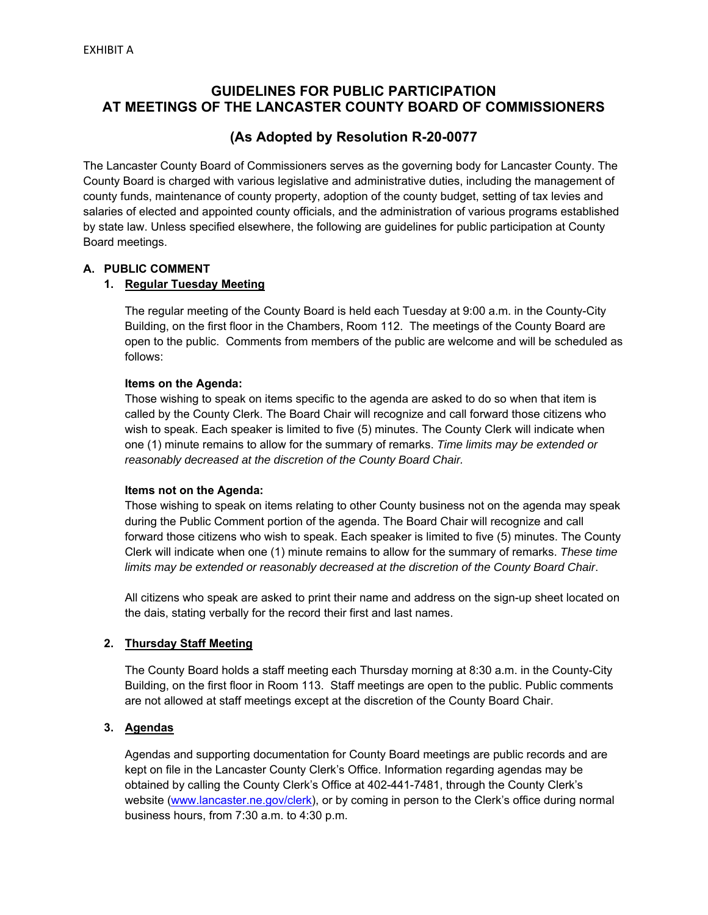# **GUIDELINES FOR PUBLIC PARTICIPATION AT MEETINGS OF THE LANCASTER COUNTY BOARD OF COMMISSIONERS**

# **(As Adopted by Resolution R-20-0077**

The Lancaster County Board of Commissioners serves as the governing body for Lancaster County. The County Board is charged with various legislative and administrative duties, including the management of county funds, maintenance of county property, adoption of the county budget, setting of tax levies and salaries of elected and appointed county officials, and the administration of various programs established by state law. Unless specified elsewhere, the following are guidelines for public participation at County Board meetings.

# **A. PUBLIC COMMENT**

# **1. Regular Tuesday Meeting**

The regular meeting of the County Board is held each Tuesday at 9:00 a.m. in the County-City Building, on the first floor in the Chambers, Room 112. The meetings of the County Board are open to the public. Comments from members of the public are welcome and will be scheduled as follows:

# **Items on the Agenda:**

Those wishing to speak on items specific to the agenda are asked to do so when that item is called by the County Clerk. The Board Chair will recognize and call forward those citizens who wish to speak. Each speaker is limited to five (5) minutes. The County Clerk will indicate when one (1) minute remains to allow for the summary of remarks. *Time limits may be extended or reasonably decreased at the discretion of the County Board Chair.* 

# **Items not on the Agenda:**

Those wishing to speak on items relating to other County business not on the agenda may speak during the Public Comment portion of the agenda. The Board Chair will recognize and call forward those citizens who wish to speak. Each speaker is limited to five (5) minutes. The County Clerk will indicate when one (1) minute remains to allow for the summary of remarks. *These time limits may be extended or reasonably decreased at the discretion of the County Board Chair*.

All citizens who speak are asked to print their name and address on the sign-up sheet located on the dais, stating verbally for the record their first and last names.

# **2. Thursday Staff Meeting**

The County Board holds a staff meeting each Thursday morning at 8:30 a.m. in the County-City Building, on the first floor in Room 113. Staff meetings are open to the public. Public comments are not allowed at staff meetings except at the discretion of the County Board Chair.

# **3. Agendas**

Agendas and supporting documentation for County Board meetings are public records and are kept on file in the Lancaster County Clerk's Office. Information regarding agendas may be obtained by calling the County Clerk's Office at 402-441-7481, through the County Clerk's website (www.lancaster.ne.gov/clerk), or by coming in person to the Clerk's office during normal business hours, from 7:30 a.m. to 4:30 p.m.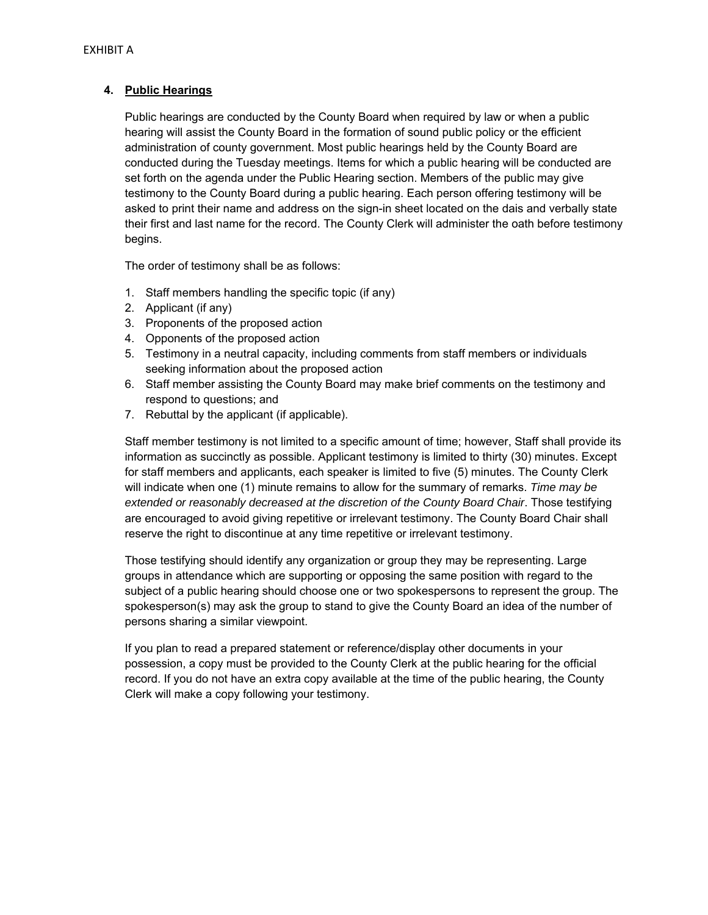# **4. Public Hearings**

Public hearings are conducted by the County Board when required by law or when a public hearing will assist the County Board in the formation of sound public policy or the efficient administration of county government. Most public hearings held by the County Board are conducted during the Tuesday meetings. Items for which a public hearing will be conducted are set forth on the agenda under the Public Hearing section. Members of the public may give testimony to the County Board during a public hearing. Each person offering testimony will be asked to print their name and address on the sign-in sheet located on the dais and verbally state their first and last name for the record. The County Clerk will administer the oath before testimony begins.

The order of testimony shall be as follows:

- 1. Staff members handling the specific topic (if any)
- 2. Applicant (if any)
- 3. Proponents of the proposed action
- 4. Opponents of the proposed action
- 5. Testimony in a neutral capacity, including comments from staff members or individuals seeking information about the proposed action
- 6. Staff member assisting the County Board may make brief comments on the testimony and respond to questions; and
- 7. Rebuttal by the applicant (if applicable).

Staff member testimony is not limited to a specific amount of time; however, Staff shall provide its information as succinctly as possible. Applicant testimony is limited to thirty (30) minutes. Except for staff members and applicants, each speaker is limited to five (5) minutes. The County Clerk will indicate when one (1) minute remains to allow for the summary of remarks. *Time may be extended or reasonably decreased at the discretion of the County Board Chair*. Those testifying are encouraged to avoid giving repetitive or irrelevant testimony. The County Board Chair shall reserve the right to discontinue at any time repetitive or irrelevant testimony.

Those testifying should identify any organization or group they may be representing. Large groups in attendance which are supporting or opposing the same position with regard to the subject of a public hearing should choose one or two spokespersons to represent the group. The spokesperson(s) may ask the group to stand to give the County Board an idea of the number of persons sharing a similar viewpoint.

If you plan to read a prepared statement or reference/display other documents in your possession, a copy must be provided to the County Clerk at the public hearing for the official record. If you do not have an extra copy available at the time of the public hearing, the County Clerk will make a copy following your testimony.